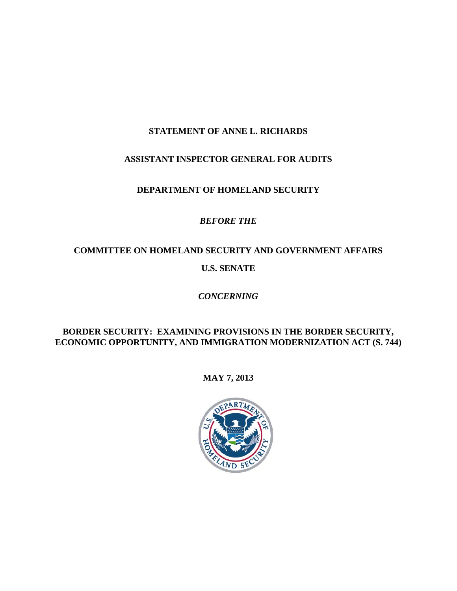## **STATEMENT OF ANNE L. RICHARDS**

### **ASSISTANT INSPECTOR GENERAL FOR AUDITS**

### **DEPARTMENT OF HOMELAND SECURITY**

## *BEFORE THE*

# **COMMITTEE ON HOMELAND SECURITY AND GOVERNMENT AFFAIRS**

### **U.S. SENATE**

## *CONCERNING*

### **BORDER SECURITY: EXAMINING PROVISIONS IN THE BORDER SECURITY, ECONOMIC OPPORTUNITY, AND IMMIGRATION MODERNIZATION ACT (S. 744)**

### **MAY 7, 2013**

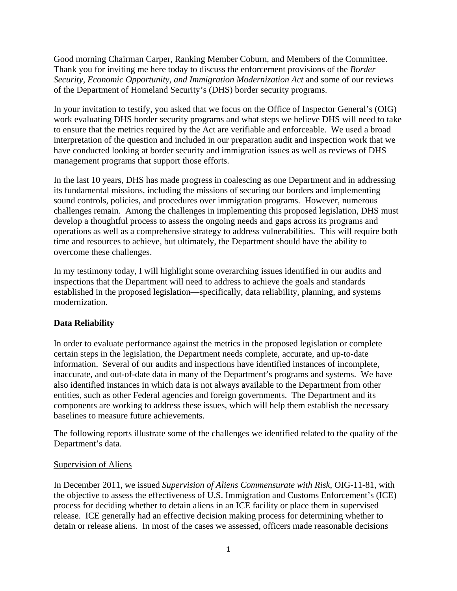Good morning Chairman Carper, Ranking Member Coburn, and Members of the Committee. Thank you for inviting me here today to discuss the enforcement provisions of the *Border Security, Economic Opportunity, and Immigration Modernization Act* and some of our reviews of the Department of Homeland Security's (DHS) border security programs.

In your invitation to testify, you asked that we focus on the Office of Inspector General's (OIG) work evaluating DHS border security programs and what steps we believe DHS will need to take to ensure that the metrics required by the Act are verifiable and enforceable. We used a broad interpretation of the question and included in our preparation audit and inspection work that we have conducted looking at border security and immigration issues as well as reviews of DHS management programs that support those efforts.

In the last 10 years, DHS has made progress in coalescing as one Department and in addressing its fundamental missions, including the missions of securing our borders and implementing sound controls, policies, and procedures over immigration programs. However, numerous challenges remain. Among the challenges in implementing this proposed legislation, DHS must develop a thoughtful process to assess the ongoing needs and gaps across its programs and operations as well as a comprehensive strategy to address vulnerabilities. This will require both time and resources to achieve, but ultimately, the Department should have the ability to overcome these challenges.

In my testimony today, I will highlight some overarching issues identified in our audits and inspections that the Department will need to address to achieve the goals and standards established in the proposed legislation—specifically, data reliability, planning, and systems modernization.

#### **Data Reliability**

In order to evaluate performance against the metrics in the proposed legislation or complete certain steps in the legislation, the Department needs complete, accurate, and up-to-date information. Several of our audits and inspections have identified instances of incomplete, inaccurate, and out-of-date data in many of the Department's programs and systems. We have also identified instances in which data is not always available to the Department from other entities, such as other Federal agencies and foreign governments. The Department and its components are working to address these issues, which will help them establish the necessary baselines to measure future achievements.

The following reports illustrate some of the challenges we identified related to the quality of the Department's data.

#### Supervision of Aliens

In December 2011, we issued *Supervision of Aliens Commensurate with Risk*, OIG-11-81, with the objective to assess the effectiveness of U.S. Immigration and Customs Enforcement's (ICE) process for deciding whether to detain aliens in an ICE facility or place them in supervised release. ICE generally had an effective decision making process for determining whether to detain or release aliens. In most of the cases we assessed, officers made reasonable decisions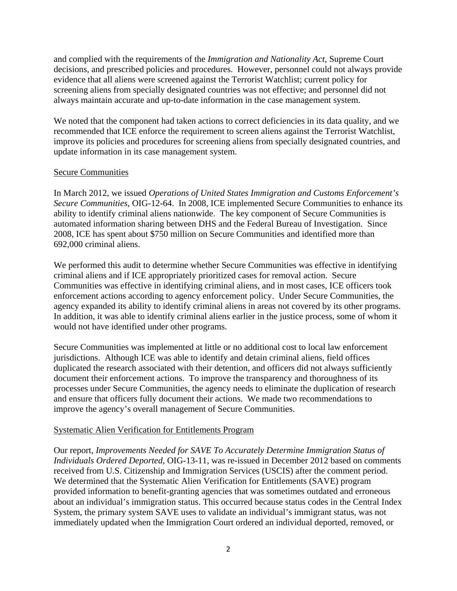and complied with the requirements of the *Immigration and Nationality Act*, Supreme Court decisions, and prescribed policies and procedures. However, personnel could not always provide evidence that all aliens were screened against the Terrorist Watchlist; current policy for screening aliens from specially designated countries was not effective; and personnel did not always maintain accurate and up-to-date information in the case management system.

We noted that the component had taken actions to correct deficiencies in its data quality, and we recommended that ICE enforce the requirement to screen aliens against the Terrorist Watchlist, improve its policies and procedures for screening aliens from specially designated countries, and update information in its case management system.

#### Secure Communities

In March 2012, we issued *Operations of United States Immigration and Customs Enforcement's Secure Communities*, OIG-12-64. In 2008, ICE implemented Secure Communities to enhance its ability to identify criminal aliens nationwide. The key component of Secure Communities is automated information sharing between DHS and the Federal Bureau of Investigation. Since 2008, ICE has spent about \$750 million on Secure Communities and identified more than 692,000 criminal aliens.

We performed this audit to determine whether Secure Communities was effective in identifying criminal aliens and if ICE appropriately prioritized cases for removal action. Secure Communities was effective in identifying criminal aliens, and in most cases, ICE officers took enforcement actions according to agency enforcement policy. Under Secure Communities, the agency expanded its ability to identify criminal aliens in areas not covered by its other programs. In addition, it was able to identify criminal aliens earlier in the justice process, some of whom it would not have identified under other programs.

Secure Communities was implemented at little or no additional cost to local law enforcement jurisdictions. Although ICE was able to identify and detain criminal aliens, field offices duplicated the research associated with their detention, and officers did not always sufficiently document their enforcement actions. To improve the transparency and thoroughness of its processes under Secure Communities, the agency needs to eliminate the duplication of research and ensure that officers fully document their actions. We made two recommendations to improve the agency's overall management of Secure Communities.

#### Systematic Alien Verification for Entitlements Program

Our report, *Improvements Needed for SAVE To Accurately Determine Immigration Status of Individuals Ordered Deported*, OIG-13-11, was re-issued in December 2012 based on comments received from U.S. Citizenship and Immigration Services (USCIS) after the comment period. We determined that the Systematic Alien Verification for Entitlements (SAVE) program provided information to benefit-granting agencies that was sometimes outdated and erroneous about an individual's immigration status. This occurred because status codes in the Central Index System, the primary system SAVE uses to validate an individual's immigrant status, was not immediately updated when the Immigration Court ordered an individual deported, removed, or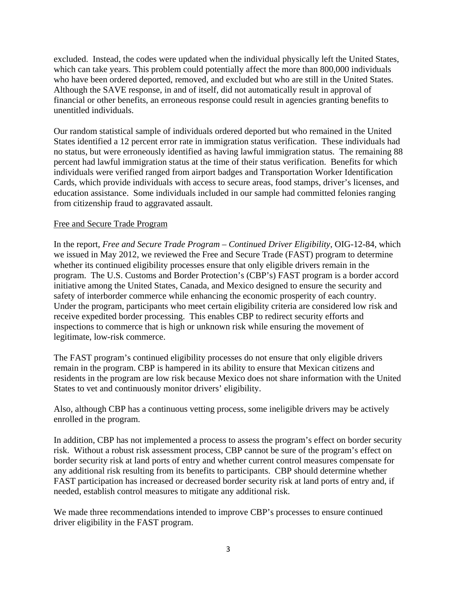excluded. Instead, the codes were updated when the individual physically left the United States, which can take years. This problem could potentially affect the more than 800,000 individuals who have been ordered deported, removed, and excluded but who are still in the United States. Although the SAVE response, in and of itself, did not automatically result in approval of financial or other benefits, an erroneous response could result in agencies granting benefits to unentitled individuals.

Our random statistical sample of individuals ordered deported but who remained in the United States identified a 12 percent error rate in immigration status verification. These individuals had no status, but were erroneously identified as having lawful immigration status. The remaining 88 percent had lawful immigration status at the time of their status verification. Benefits for which individuals were verified ranged from airport badges and Transportation Worker Identification Cards, which provide individuals with access to secure areas, food stamps, driver's licenses, and education assistance. Some individuals included in our sample had committed felonies ranging from citizenship fraud to aggravated assault.

#### Free and Secure Trade Program

In the report, *Free and Secure Trade Program – Continued Driver Eligibility*, OIG-12-84, which we issued in May 2012, we reviewed the Free and Secure Trade (FAST) program to determine whether its continued eligibility processes ensure that only eligible drivers remain in the program. The U.S. Customs and Border Protection's (CBP's) FAST program is a border accord initiative among the United States, Canada, and Mexico designed to ensure the security and safety of interborder commerce while enhancing the economic prosperity of each country. Under the program, participants who meet certain eligibility criteria are considered low risk and receive expedited border processing. This enables CBP to redirect security efforts and inspections to commerce that is high or unknown risk while ensuring the movement of legitimate, low-risk commerce.

The FAST program's continued eligibility processes do not ensure that only eligible drivers remain in the program. CBP is hampered in its ability to ensure that Mexican citizens and residents in the program are low risk because Mexico does not share information with the United States to vet and continuously monitor drivers' eligibility.

Also, although CBP has a continuous vetting process, some ineligible drivers may be actively enrolled in the program.

In addition, CBP has not implemented a process to assess the program's effect on border security risk. Without a robust risk assessment process, CBP cannot be sure of the program's effect on border security risk at land ports of entry and whether current control measures compensate for any additional risk resulting from its benefits to participants. CBP should determine whether FAST participation has increased or decreased border security risk at land ports of entry and, if needed, establish control measures to mitigate any additional risk.

We made three recommendations intended to improve CBP's processes to ensure continued driver eligibility in the FAST program.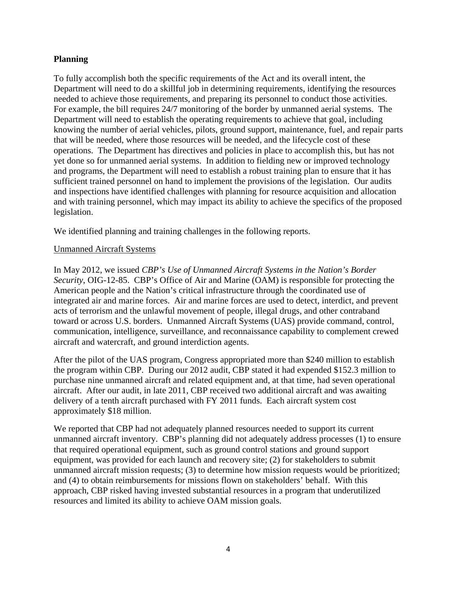#### **Planning**

To fully accomplish both the specific requirements of the Act and its overall intent, the Department will need to do a skillful job in determining requirements, identifying the resources needed to achieve those requirements, and preparing its personnel to conduct those activities. For example, the bill requires 24/7 monitoring of the border by unmanned aerial systems. The Department will need to establish the operating requirements to achieve that goal, including knowing the number of aerial vehicles, pilots, ground support, maintenance, fuel, and repair parts that will be needed, where those resources will be needed, and the lifecycle cost of these operations. The Department has directives and policies in place to accomplish this, but has not yet done so for unmanned aerial systems. In addition to fielding new or improved technology and programs, the Department will need to establish a robust training plan to ensure that it has sufficient trained personnel on hand to implement the provisions of the legislation. Our audits and inspections have identified challenges with planning for resource acquisition and allocation and with training personnel, which may impact its ability to achieve the specifics of the proposed legislation.

We identified planning and training challenges in the following reports.

#### Unmanned Aircraft Systems

In May 2012, we issued *CBP's Use of Unmanned Aircraft Systems in the Nation's Border Security*, OIG-12-85. CBP's Office of Air and Marine (OAM) is responsible for protecting the American people and the Nation's critical infrastructure through the coordinated use of integrated air and marine forces. Air and marine forces are used to detect, interdict, and prevent acts of terrorism and the unlawful movement of people, illegal drugs, and other contraband toward or across U.S. borders. Unmanned Aircraft Systems (UAS) provide command, control, communication, intelligence, surveillance, and reconnaissance capability to complement crewed aircraft and watercraft, and ground interdiction agents.

After the pilot of the UAS program, Congress appropriated more than \$240 million to establish the program within CBP. During our 2012 audit, CBP stated it had expended \$152.3 million to purchase nine unmanned aircraft and related equipment and, at that time, had seven operational aircraft. After our audit, in late 2011, CBP received two additional aircraft and was awaiting delivery of a tenth aircraft purchased with FY 2011 funds. Each aircraft system cost approximately \$18 million.

We reported that CBP had not adequately planned resources needed to support its current unmanned aircraft inventory. CBP's planning did not adequately address processes (1) to ensure that required operational equipment, such as ground control stations and ground support equipment, was provided for each launch and recovery site; (2) for stakeholders to submit unmanned aircraft mission requests; (3) to determine how mission requests would be prioritized; and (4) to obtain reimbursements for missions flown on stakeholders' behalf. With this approach, CBP risked having invested substantial resources in a program that underutilized resources and limited its ability to achieve OAM mission goals.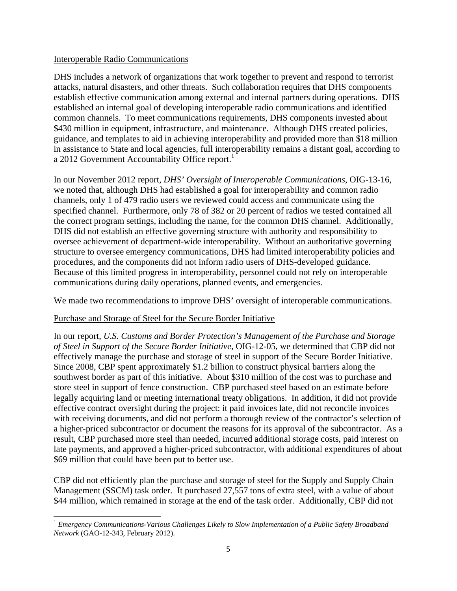#### Interoperable Radio Communications

a 2012 Government Accountability Office report.<sup>1</sup> DHS includes a network of organizations that work together to prevent and respond to terrorist attacks, natural disasters, and other threats. Such collaboration requires that DHS components establish effective communication among external and internal partners during operations. DHS established an internal goal of developing interoperable radio communications and identified common channels. To meet communications requirements, DHS components invested about \$430 million in equipment, infrastructure, and maintenance. Although DHS created policies, guidance, and templates to aid in achieving interoperability and provided more than \$18 million in assistance to State and local agencies, full interoperability remains a distant goal, according to

In our November 2012 report, *DHS' Oversight of Interoperable Communications*, OIG-13-16, we noted that, although DHS had established a goal for interoperability and common radio channels, only 1 of 479 radio users we reviewed could access and communicate using the specified channel. Furthermore, only 78 of 382 or 20 percent of radios we tested contained all the correct program settings, including the name, for the common DHS channel. Additionally, DHS did not establish an effective governing structure with authority and responsibility to oversee achievement of department-wide interoperability. Without an authoritative governing structure to oversee emergency communications, DHS had limited interoperability policies and procedures, and the components did not inform radio users of DHS-developed guidance. Because of this limited progress in interoperability, personnel could not rely on interoperable communications during daily operations, planned events, and emergencies.

We made two recommendations to improve DHS' oversight of interoperable communications.

#### Purchase and Storage of Steel for the Secure Border Initiative

In our report, *U.S. Customs and Border Protection's Management of the Purchase and Storage of Steel in Support of the Secure Border Initiative*, OIG-12-05, we determined that CBP did not effectively manage the purchase and storage of steel in support of the Secure Border Initiative. Since 2008, CBP spent approximately \$1.2 billion to construct physical barriers along the southwest border as part of this initiative. About \$310 million of the cost was to purchase and store steel in support of fence construction. CBP purchased steel based on an estimate before legally acquiring land or meeting international treaty obligations. In addition, it did not provide effective contract oversight during the project: it paid invoices late, did not reconcile invoices with receiving documents, and did not perform a thorough review of the contractor's selection of a higher-priced subcontractor or document the reasons for its approval of the subcontractor. As a result, CBP purchased more steel than needed, incurred additional storage costs, paid interest on late payments, and approved a higher-priced subcontractor, with additional expenditures of about \$69 million that could have been put to better use.

CBP did not efficiently plan the purchase and storage of steel for the Supply and Supply Chain Management (SSCM) task order. It purchased 27,557 tons of extra steel, with a value of about \$44 million, which remained in storage at the end of the task order. Additionally, CBP did not

<sup>1</sup>*Emergency Communications-Various Challenges Likely to Slow Implementation of a Public Safety Broadband Network* (GAO-12-343, February 2012).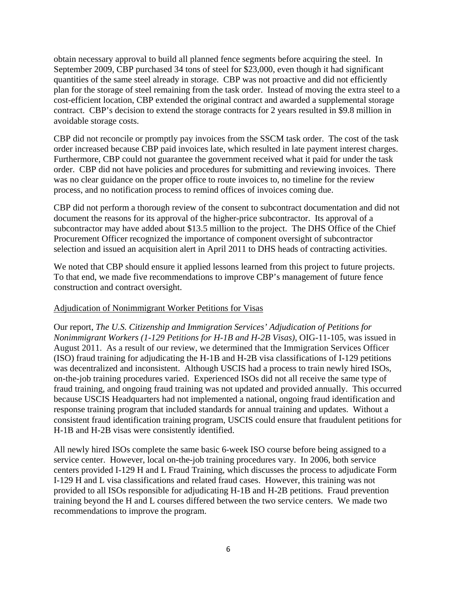obtain necessary approval to build all planned fence segments before acquiring the steel. In September 2009, CBP purchased 34 tons of steel for \$23,000, even though it had significant quantities of the same steel already in storage. CBP was not proactive and did not efficiently plan for the storage of steel remaining from the task order. Instead of moving the extra steel to a cost-efficient location, CBP extended the original contract and awarded a supplemental storage contract. CBP's decision to extend the storage contracts for 2 years resulted in \$9.8 million in avoidable storage costs.

CBP did not reconcile or promptly pay invoices from the SSCM task order. The cost of the task order increased because CBP paid invoices late, which resulted in late payment interest charges. Furthermore, CBP could not guarantee the government received what it paid for under the task order. CBP did not have policies and procedures for submitting and reviewing invoices. There was no clear guidance on the proper office to route invoices to, no timeline for the review process, and no notification process to remind offices of invoices coming due.

CBP did not perform a thorough review of the consent to subcontract documentation and did not document the reasons for its approval of the higher-price subcontractor. Its approval of a subcontractor may have added about \$13.5 million to the project. The DHS Office of the Chief Procurement Officer recognized the importance of component oversight of subcontractor selection and issued an acquisition alert in April 2011 to DHS heads of contracting activities.

We noted that CBP should ensure it applied lessons learned from this project to future projects. To that end, we made five recommendations to improve CBP's management of future fence construction and contract oversight.

#### Adjudication of Nonimmigrant Worker Petitions for Visas

Our report, *The U.S. Citizenship and Immigration Services' Adjudication of Petitions for Nonimmigrant Workers (1-129 Petitions for H-1B and H-2B Visas)*, OIG-11-105, was issued in August 2011. As a result of our review, we determined that the Immigration Services Officer (ISO) fraud training for adjudicating the H-1B and H-2B visa classifications of I-129 petitions was decentralized and inconsistent. Although USCIS had a process to train newly hired ISOs, on-the-job training procedures varied. Experienced ISOs did not all receive the same type of fraud training, and ongoing fraud training was not updated and provided annually. This occurred because USCIS Headquarters had not implemented a national, ongoing fraud identification and response training program that included standards for annual training and updates. Without a consistent fraud identification training program, USCIS could ensure that fraudulent petitions for H-1B and H-2B visas were consistently identified.

All newly hired ISOs complete the same basic 6-week ISO course before being assigned to a service center. However, local on-the-job training procedures vary. In 2006, both service centers provided I-129 H and L Fraud Training, which discusses the process to adjudicate Form I-129 H and L visa classifications and related fraud cases. However, this training was not provided to all ISOs responsible for adjudicating H-1B and H-2B petitions. Fraud prevention training beyond the H and L courses differed between the two service centers. We made two recommendations to improve the program.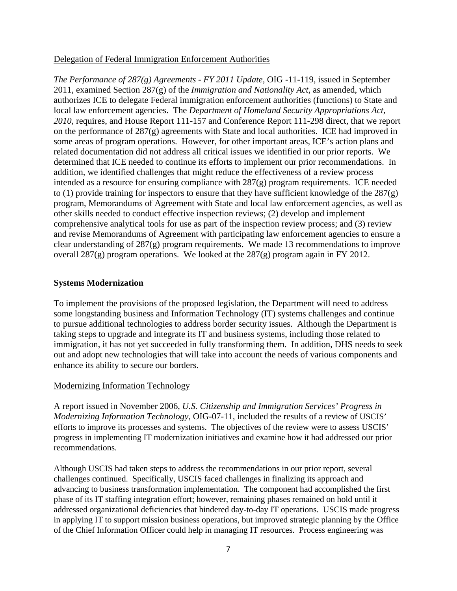#### Delegation of Federal Immigration Enforcement Authorities

*The Performance of 287(g) Agreements - FY 2011 Update,* OIG -11-119, issued in September 2011, examined Section 287(g) of the *Immigration and Nationality Act*, as amended, which authorizes ICE to delegate Federal immigration enforcement authorities (functions) to State and local law enforcement agencies. The *Department of Homeland Security Appropriations Act, 2010*, requires, and House Report 111-157 and Conference Report 111-298 direct, that we report on the performance of 287(g) agreements with State and local authorities. ICE had improved in some areas of program operations. However, for other important areas, ICE's action plans and related documentation did not address all critical issues we identified in our prior reports. We determined that ICE needed to continue its efforts to implement our prior recommendations. In addition, we identified challenges that might reduce the effectiveness of a review process intended as a resource for ensuring compliance with 287(g) program requirements. ICE needed to (1) provide training for inspectors to ensure that they have sufficient knowledge of the  $287(g)$ program, Memorandums of Agreement with State and local law enforcement agencies, as well as other skills needed to conduct effective inspection reviews; (2) develop and implement comprehensive analytical tools for use as part of the inspection review process; and (3) review and revise Memorandums of Agreement with participating law enforcement agencies to ensure a clear understanding of 287(g) program requirements. We made 13 recommendations to improve overall 287(g) program operations. We looked at the 287(g) program again in FY 2012.

#### **Systems Modernization**

To implement the provisions of the proposed legislation, the Department will need to address some longstanding business and Information Technology (IT) systems challenges and continue to pursue additional technologies to address border security issues. Although the Department is taking steps to upgrade and integrate its IT and business systems, including those related to immigration, it has not yet succeeded in fully transforming them. In addition, DHS needs to seek out and adopt new technologies that will take into account the needs of various components and enhance its ability to secure our borders.

#### Modernizing Information Technology

A report issued in November 2006, *U.S. Citizenship and Immigration Services' Progress in Modernizing Information Technology*, OIG-07-11, included the results of a review of USCIS' efforts to improve its processes and systems. The objectives of the review were to assess USCIS' progress in implementing IT modernization initiatives and examine how it had addressed our prior recommendations.

Although USCIS had taken steps to address the recommendations in our prior report, several challenges continued. Specifically, USCIS faced challenges in finalizing its approach and advancing to business transformation implementation. The component had accomplished the first phase of its IT staffing integration effort; however, remaining phases remained on hold until it addressed organizational deficiencies that hindered day-to-day IT operations. USCIS made progress in applying IT to support mission business operations, but improved strategic planning by the Office of the Chief Information Officer could help in managing IT resources. Process engineering was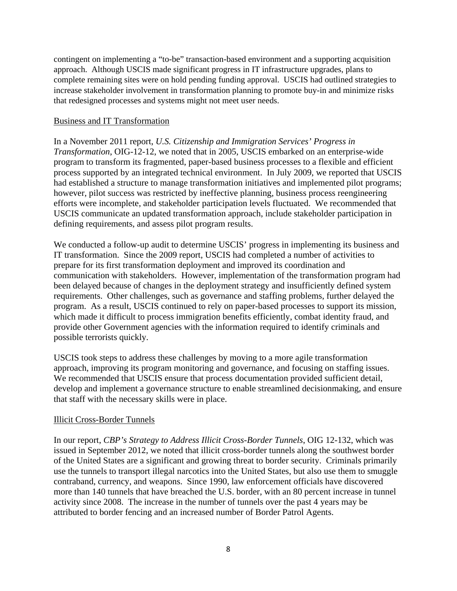contingent on implementing a "to-be" transaction-based environment and a supporting acquisition approach. Although USCIS made significant progress in IT infrastructure upgrades, plans to complete remaining sites were on hold pending funding approval. USCIS had outlined strategies to increase stakeholder involvement in transformation planning to promote buy-in and minimize risks that redesigned processes and systems might not meet user needs.

#### Business and IT Transformation

In a November 2011 report, *U.S. Citizenship and Immigration Services' Progress in Transformation*, OIG-12-12, we noted that in 2005, USCIS embarked on an enterprise-wide program to transform its fragmented, paper-based business processes to a flexible and efficient process supported by an integrated technical environment. In July 2009, we reported that USCIS had established a structure to manage transformation initiatives and implemented pilot programs; however, pilot success was restricted by ineffective planning, business process reengineering efforts were incomplete, and stakeholder participation levels fluctuated. We recommended that USCIS communicate an updated transformation approach, include stakeholder participation in defining requirements, and assess pilot program results.

We conducted a follow-up audit to determine USCIS' progress in implementing its business and IT transformation. Since the 2009 report, USCIS had completed a number of activities to prepare for its first transformation deployment and improved its coordination and communication with stakeholders. However, implementation of the transformation program had been delayed because of changes in the deployment strategy and insufficiently defined system requirements. Other challenges, such as governance and staffing problems, further delayed the program. As a result, USCIS continued to rely on paper-based processes to support its mission, which made it difficult to process immigration benefits efficiently, combat identity fraud, and provide other Government agencies with the information required to identify criminals and possible terrorists quickly.

USCIS took steps to address these challenges by moving to a more agile transformation approach, improving its program monitoring and governance, and focusing on staffing issues. We recommended that USCIS ensure that process documentation provided sufficient detail, develop and implement a governance structure to enable streamlined decisionmaking, and ensure that staff with the necessary skills were in place.

#### Illicit Cross-Border Tunnels

In our report, *CBP's Strategy to Address Illicit Cross-Border Tunnels*, OIG 12-132, which was issued in September 2012, we noted that illicit cross-border tunnels along the southwest border of the United States are a significant and growing threat to border security. Criminals primarily use the tunnels to transport illegal narcotics into the United States, but also use them to smuggle contraband, currency, and weapons. Since 1990, law enforcement officials have discovered more than 140 tunnels that have breached the U.S. border, with an 80 percent increase in tunnel activity since 2008. The increase in the number of tunnels over the past 4 years may be attributed to border fencing and an increased number of Border Patrol Agents.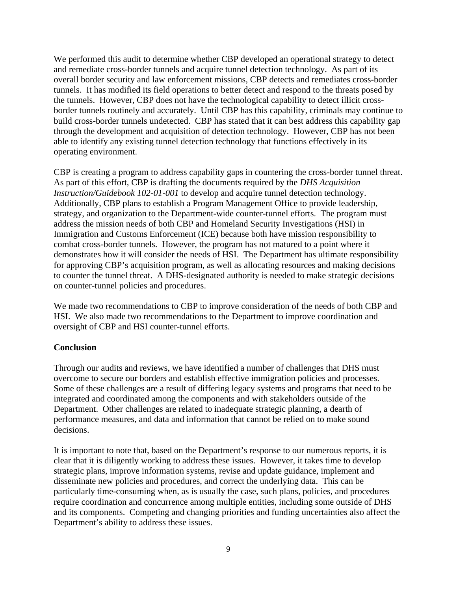We performed this audit to determine whether CBP developed an operational strategy to detect and remediate cross-border tunnels and acquire tunnel detection technology. As part of its overall border security and law enforcement missions, CBP detects and remediates cross-border tunnels. It has modified its field operations to better detect and respond to the threats posed by the tunnels. However, CBP does not have the technological capability to detect illicit crossborder tunnels routinely and accurately. Until CBP has this capability, criminals may continue to build cross-border tunnels undetected. CBP has stated that it can best address this capability gap through the development and acquisition of detection technology. However, CBP has not been able to identify any existing tunnel detection technology that functions effectively in its operating environment.

CBP is creating a program to address capability gaps in countering the cross-border tunnel threat. As part of this effort, CBP is drafting the documents required by the *DHS Acquisition Instruction/Guidebook 102-01-001* to develop and acquire tunnel detection technology. Additionally, CBP plans to establish a Program Management Office to provide leadership, strategy, and organization to the Department-wide counter-tunnel efforts. The program must address the mission needs of both CBP and Homeland Security Investigations (HSI) in Immigration and Customs Enforcement (ICE) because both have mission responsibility to combat cross-border tunnels. However, the program has not matured to a point where it demonstrates how it will consider the needs of HSI. The Department has ultimate responsibility for approving CBP's acquisition program, as well as allocating resources and making decisions to counter the tunnel threat. A DHS-designated authority is needed to make strategic decisions on counter-tunnel policies and procedures.

We made two recommendations to CBP to improve consideration of the needs of both CBP and HSI. We also made two recommendations to the Department to improve coordination and oversight of CBP and HSI counter-tunnel efforts.

#### **Conclusion**

Through our audits and reviews, we have identified a number of challenges that DHS must overcome to secure our borders and establish effective immigration policies and processes. Some of these challenges are a result of differing legacy systems and programs that need to be integrated and coordinated among the components and with stakeholders outside of the Department. Other challenges are related to inadequate strategic planning, a dearth of performance measures, and data and information that cannot be relied on to make sound decisions.

It is important to note that, based on the Department's response to our numerous reports, it is clear that it is diligently working to address these issues. However, it takes time to develop strategic plans, improve information systems, revise and update guidance, implement and disseminate new policies and procedures, and correct the underlying data. This can be particularly time-consuming when, as is usually the case, such plans, policies, and procedures require coordination and concurrence among multiple entities, including some outside of DHS and its components. Competing and changing priorities and funding uncertainties also affect the Department's ability to address these issues.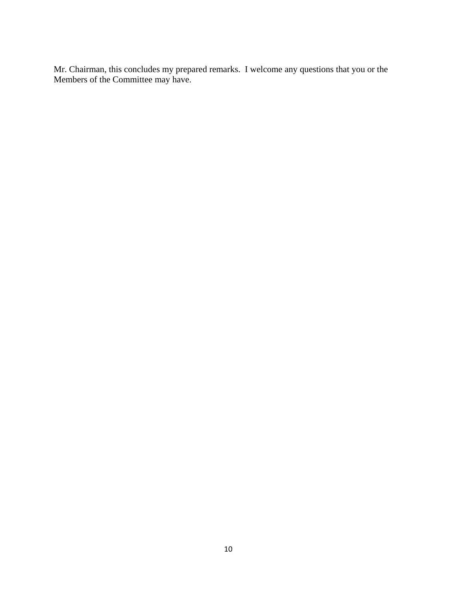Mr. Chairman, this concludes my prepared remarks. I welcome any questions that you or the Members of the Committee may have.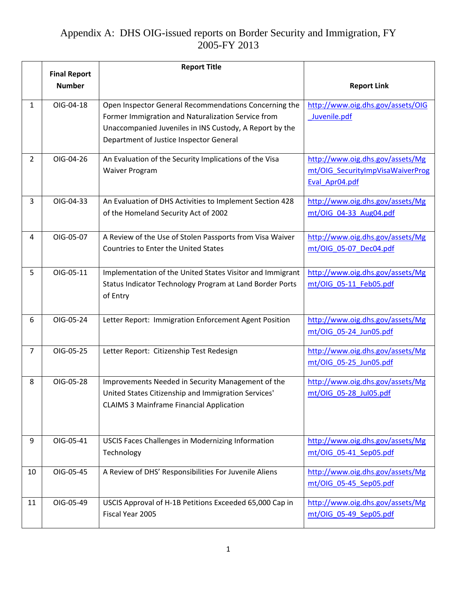|                |                                      | <b>Report Title</b>                                       |                                   |
|----------------|--------------------------------------|-----------------------------------------------------------|-----------------------------------|
|                | <b>Final Report</b><br><b>Number</b> |                                                           | <b>Report Link</b>                |
|                |                                      |                                                           |                                   |
| 1              | OIG-04-18                            | Open Inspector General Recommendations Concerning the     | http://www.oig.dhs.gov/assets/OIG |
|                |                                      | Former Immigration and Naturalization Service from        | Juvenile.pdf                      |
|                |                                      | Unaccompanied Juveniles in INS Custody, A Report by the   |                                   |
|                |                                      | Department of Justice Inspector General                   |                                   |
| $\overline{2}$ | OIG-04-26                            | An Evaluation of the Security Implications of the Visa    | http://www.oig.dhs.gov/assets/Mg  |
|                |                                      | <b>Waiver Program</b>                                     | mt/OIG SecurityImpVisaWaiverProg  |
|                |                                      |                                                           | Eval Apr04.pdf                    |
| $\overline{3}$ | OIG-04-33                            | An Evaluation of DHS Activities to Implement Section 428  | http://www.oig.dhs.gov/assets/Mg  |
|                |                                      | of the Homeland Security Act of 2002                      | mt/OIG_04-33_Aug04.pdf            |
|                |                                      |                                                           |                                   |
| 4              | OIG-05-07                            | A Review of the Use of Stolen Passports from Visa Waiver  | http://www.oig.dhs.gov/assets/Mg  |
|                |                                      | Countries to Enter the United States                      | mt/OIG 05-07 Dec04.pdf            |
| 5              | OIG-05-11                            | Implementation of the United States Visitor and Immigrant | http://www.oig.dhs.gov/assets/Mg  |
|                |                                      | Status Indicator Technology Program at Land Border Ports  | mt/OIG 05-11 Feb05.pdf            |
|                |                                      | of Entry                                                  |                                   |
|                |                                      |                                                           |                                   |
| 6              | OIG-05-24                            | Letter Report: Immigration Enforcement Agent Position     | http://www.oig.dhs.gov/assets/Mg  |
|                |                                      |                                                           | mt/OIG_05-24_Jun05.pdf            |
| $\overline{7}$ | OIG-05-25                            | Letter Report: Citizenship Test Redesign                  | http://www.oig.dhs.gov/assets/Mg  |
|                |                                      |                                                           | mt/OIG 05-25 Jun05.pdf            |
| 8              | OIG-05-28                            | Improvements Needed in Security Management of the         | http://www.oig.dhs.gov/assets/Mg  |
|                |                                      | United States Citizenship and Immigration Services'       | mt/OIG 05-28 Jul05.pdf            |
|                |                                      | <b>CLAIMS 3 Mainframe Financial Application</b>           |                                   |
|                |                                      |                                                           |                                   |
| 9              | OIG-05-41                            | USCIS Faces Challenges in Modernizing Information         | http://www.oig.dhs.gov/assets/Mg  |
|                |                                      | Technology                                                | mt/OIG_05-41_Sep05.pdf            |
|                |                                      |                                                           |                                   |
| 10             | OIG-05-45                            | A Review of DHS' Responsibilities For Juvenile Aliens     | http://www.oig.dhs.gov/assets/Mg  |
|                |                                      |                                                           | mt/OIG 05-45 Sep05.pdf            |
| 11             | OIG-05-49                            | USCIS Approval of H-1B Petitions Exceeded 65,000 Cap in   | http://www.oig.dhs.gov/assets/Mg  |
|                |                                      | Fiscal Year 2005                                          | mt/OIG 05-49 Sep05.pdf            |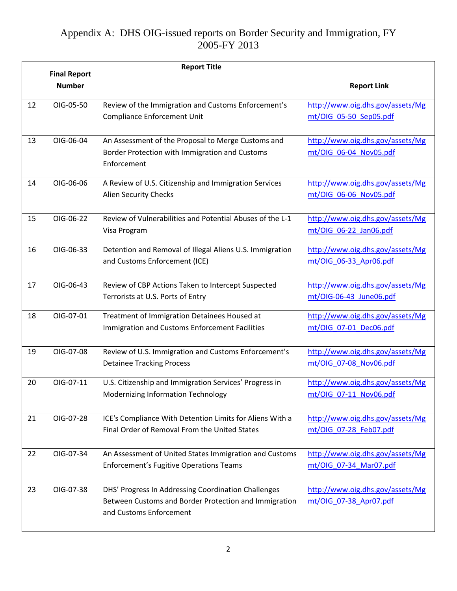|    |                                      | <b>Report Title</b>                                                                          |                                                            |
|----|--------------------------------------|----------------------------------------------------------------------------------------------|------------------------------------------------------------|
|    | <b>Final Report</b><br><b>Number</b> |                                                                                              |                                                            |
|    |                                      |                                                                                              | <b>Report Link</b>                                         |
| 12 | OIG-05-50                            | Review of the Immigration and Customs Enforcement's                                          | http://www.oig.dhs.gov/assets/Mg                           |
|    |                                      | <b>Compliance Enforcement Unit</b>                                                           | mt/OIG 05-50 Sep05.pdf                                     |
|    |                                      |                                                                                              |                                                            |
| 13 | OIG-06-04                            | An Assessment of the Proposal to Merge Customs and                                           | http://www.oig.dhs.gov/assets/Mg                           |
|    |                                      | Border Protection with Immigration and Customs                                               | mt/OIG_06-04_Nov05.pdf                                     |
|    |                                      | Enforcement                                                                                  |                                                            |
| 14 | OIG-06-06                            | A Review of U.S. Citizenship and Immigration Services                                        | http://www.oig.dhs.gov/assets/Mg                           |
|    |                                      | <b>Alien Security Checks</b>                                                                 | mt/OIG 06-06 Nov05.pdf                                     |
|    |                                      |                                                                                              |                                                            |
| 15 | OIG-06-22                            | Review of Vulnerabilities and Potential Abuses of the L-1                                    | http://www.oig.dhs.gov/assets/Mg                           |
|    |                                      | Visa Program                                                                                 | mt/OIG 06-22 Jan06.pdf                                     |
| 16 | OIG-06-33                            | Detention and Removal of Illegal Aliens U.S. Immigration                                     | http://www.oig.dhs.gov/assets/Mg                           |
|    |                                      | and Customs Enforcement (ICE)                                                                | mt/OIG 06-33 Apr06.pdf                                     |
|    |                                      |                                                                                              |                                                            |
| 17 | OIG-06-43                            | Review of CBP Actions Taken to Intercept Suspected                                           | http://www.oig.dhs.gov/assets/Mg                           |
|    |                                      | Terrorists at U.S. Ports of Entry                                                            | mt/OIG-06-43 June06.pdf                                    |
| 18 | OIG-07-01                            | Treatment of Immigration Detainees Housed at                                                 | http://www.oig.dhs.gov/assets/Mg                           |
|    |                                      | Immigration and Customs Enforcement Facilities                                               | mt/OIG_07-01_Dec06.pdf                                     |
|    |                                      |                                                                                              |                                                            |
| 19 | OIG-07-08                            | Review of U.S. Immigration and Customs Enforcement's                                         | http://www.oig.dhs.gov/assets/Mg                           |
|    |                                      | <b>Detainee Tracking Process</b>                                                             | mt/OIG 07-08 Nov06.pdf                                     |
| 20 | OIG-07-11                            |                                                                                              |                                                            |
|    |                                      | U.S. Citizenship and Immigration Services' Progress in<br>Modernizing Information Technology | http://www.oig.dhs.gov/assets/Mg<br>mt/OIG 07-11 Nov06.pdf |
|    |                                      |                                                                                              |                                                            |
| 21 | OIG-07-28                            | ICE's Compliance With Detention Limits for Aliens With a                                     | http://www.oig.dhs.gov/assets/Mg                           |
|    |                                      | Final Order of Removal From the United States                                                | mt/OIG_07-28_Feb07.pdf                                     |
|    |                                      |                                                                                              |                                                            |
| 22 | OIG-07-34                            | An Assessment of United States Immigration and Customs                                       | http://www.oig.dhs.gov/assets/Mg                           |
|    |                                      | <b>Enforcement's Fugitive Operations Teams</b>                                               | mt/OIG 07-34 Mar07.pdf                                     |
|    |                                      |                                                                                              |                                                            |
| 23 | OIG-07-38                            | DHS' Progress In Addressing Coordination Challenges                                          | http://www.oig.dhs.gov/assets/Mg                           |
|    |                                      | Between Customs and Border Protection and Immigration                                        | mt/OIG 07-38 Apr07.pdf                                     |
|    |                                      | and Customs Enforcement                                                                      |                                                            |
|    |                                      |                                                                                              |                                                            |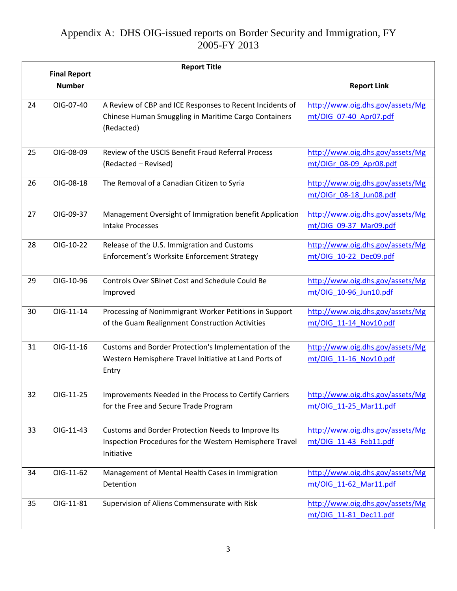|    |                                      | <b>Report Title</b>                                                   |                                  |
|----|--------------------------------------|-----------------------------------------------------------------------|----------------------------------|
|    | <b>Final Report</b><br><b>Number</b> |                                                                       | <b>Report Link</b>               |
| 24 | OIG-07-40                            | A Review of CBP and ICE Responses to Recent Incidents of              | http://www.oig.dhs.gov/assets/Mg |
|    |                                      | Chinese Human Smuggling in Maritime Cargo Containers                  | mt/OIG 07-40 Apr07.pdf           |
|    |                                      | (Redacted)                                                            |                                  |
| 25 | OIG-08-09                            | Review of the USCIS Benefit Fraud Referral Process                    | http://www.oig.dhs.gov/assets/Mg |
|    |                                      | (Redacted - Revised)                                                  | mt/OIGr_08-09_Apr08.pdf          |
| 26 | OIG-08-18                            | The Removal of a Canadian Citizen to Syria                            | http://www.oig.dhs.gov/assets/Mg |
|    |                                      |                                                                       | mt/OIGr 08-18 Jun08.pdf          |
| 27 | OIG-09-37                            | Management Oversight of Immigration benefit Application               | http://www.oig.dhs.gov/assets/Mg |
|    |                                      | <b>Intake Processes</b>                                               | mt/OIG 09-37 Mar09.pdf           |
| 28 | OIG-10-22                            | Release of the U.S. Immigration and Customs                           | http://www.oig.dhs.gov/assets/Mg |
|    |                                      | Enforcement's Worksite Enforcement Strategy                           | mt/OIG_10-22_Dec09.pdf           |
| 29 | OIG-10-96                            | Controls Over SBInet Cost and Schedule Could Be                       | http://www.oig.dhs.gov/assets/Mg |
|    |                                      | Improved                                                              | mt/OIG 10-96 Jun10.pdf           |
| 30 | OIG-11-14                            | Processing of Nonimmigrant Worker Petitions in Support                | http://www.oig.dhs.gov/assets/Mg |
|    |                                      | of the Guam Realignment Construction Activities                       | mt/OIG 11-14 Nov10.pdf           |
| 31 | OIG-11-16                            | Customs and Border Protection's Implementation of the                 | http://www.oig.dhs.gov/assets/Mg |
|    |                                      | Western Hemisphere Travel Initiative at Land Ports of                 | mt/OIG 11-16 Nov10.pdf           |
|    |                                      | Entry                                                                 |                                  |
| 32 | OIG-11-25                            | Improvements Needed in the Process to Certify Carriers                | http://www.oig.dhs.gov/assets/Mg |
|    |                                      | for the Free and Secure Trade Program                                 | mt/OIG 11-25 Mar11.pdf           |
|    |                                      |                                                                       |                                  |
| 33 | OIG-11-43                            | Customs and Border Protection Needs to Improve Its                    | http://www.oig.dhs.gov/assets/Mg |
|    |                                      | Inspection Procedures for the Western Hemisphere Travel<br>Initiative | mt/OIG 11-43 Feb11.pdf           |
| 34 | OIG-11-62                            | Management of Mental Health Cases in Immigration                      | http://www.oig.dhs.gov/assets/Mg |
|    |                                      | Detention                                                             | mt/OIG 11-62 Mar11.pdf           |
| 35 | OIG-11-81                            | Supervision of Aliens Commensurate with Risk                          | http://www.oig.dhs.gov/assets/Mg |
|    |                                      |                                                                       | mt/OIG 11-81 Dec11.pdf           |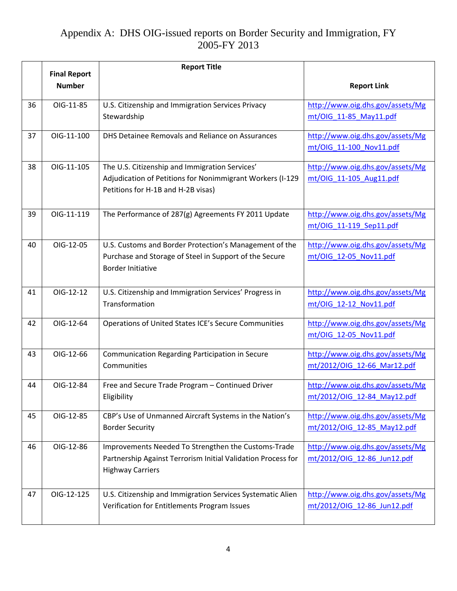|    |                                      | <b>Report Title</b>                                                                                              |                                                            |
|----|--------------------------------------|------------------------------------------------------------------------------------------------------------------|------------------------------------------------------------|
|    | <b>Final Report</b><br><b>Number</b> |                                                                                                                  | <b>Report Link</b>                                         |
|    |                                      |                                                                                                                  |                                                            |
| 36 | OIG-11-85                            | U.S. Citizenship and Immigration Services Privacy                                                                | http://www.oig.dhs.gov/assets/Mg                           |
|    |                                      | Stewardship                                                                                                      | mt/OIG 11-85 May11.pdf                                     |
| 37 | OIG-11-100                           | DHS Detainee Removals and Reliance on Assurances                                                                 | http://www.oig.dhs.gov/assets/Mg                           |
|    |                                      |                                                                                                                  | mt/OIG_11-100_Nov11.pdf                                    |
|    |                                      |                                                                                                                  |                                                            |
| 38 | OIG-11-105                           | The U.S. Citizenship and Immigration Services'                                                                   | http://www.oig.dhs.gov/assets/Mg                           |
|    |                                      | Adjudication of Petitions for Nonimmigrant Workers (I-129<br>Petitions for H-1B and H-2B visas)                  | mt/OIG 11-105 Aug11.pdf                                    |
|    |                                      |                                                                                                                  |                                                            |
| 39 | OIG-11-119                           | The Performance of 287(g) Agreements FY 2011 Update                                                              | http://www.oig.dhs.gov/assets/Mg                           |
|    |                                      |                                                                                                                  | mt/OIG 11-119 Sep11.pdf                                    |
|    |                                      |                                                                                                                  |                                                            |
| 40 | OIG-12-05                            | U.S. Customs and Border Protection's Management of the<br>Purchase and Storage of Steel in Support of the Secure | http://www.oig.dhs.gov/assets/Mg                           |
|    |                                      | <b>Border Initiative</b>                                                                                         | mt/OIG_12-05_Nov11.pdf                                     |
|    |                                      |                                                                                                                  |                                                            |
| 41 | OIG-12-12                            | U.S. Citizenship and Immigration Services' Progress in                                                           | http://www.oig.dhs.gov/assets/Mg                           |
|    |                                      | Transformation                                                                                                   | mt/OIG 12-12 Nov11.pdf                                     |
|    |                                      |                                                                                                                  |                                                            |
| 42 | OIG-12-64                            | Operations of United States ICE's Secure Communities                                                             | http://www.oig.dhs.gov/assets/Mg<br>mt/OIG 12-05 Nov11.pdf |
|    |                                      |                                                                                                                  |                                                            |
| 43 | OIG-12-66                            | Communication Regarding Participation in Secure                                                                  | http://www.oig.dhs.gov/assets/Mg                           |
|    |                                      | Communities                                                                                                      | mt/2012/OIG_12-66_Mar12.pdf                                |
| 44 | OIG-12-84                            | Free and Secure Trade Program - Continued Driver                                                                 | http://www.oig.dhs.gov/assets/Mg                           |
|    |                                      | Eligibility                                                                                                      | mt/2012/OIG 12-84 May12.pdf                                |
| 45 | OIG-12-85                            | CBP's Use of Unmanned Aircraft Systems in the Nation's                                                           | http://www.oig.dhs.gov/assets/Mg                           |
|    |                                      | <b>Border Security</b>                                                                                           | mt/2012/OIG 12-85 May12.pdf                                |
|    |                                      |                                                                                                                  |                                                            |
| 46 | OIG-12-86                            | Improvements Needed To Strengthen the Customs-Trade                                                              | http://www.oig.dhs.gov/assets/Mg                           |
|    |                                      | Partnership Against Terrorism Initial Validation Process for                                                     | mt/2012/OIG_12-86_Jun12.pdf                                |
|    |                                      | <b>Highway Carriers</b>                                                                                          |                                                            |
| 47 | OIG-12-125                           | U.S. Citizenship and Immigration Services Systematic Alien                                                       | http://www.oig.dhs.gov/assets/Mg                           |
|    |                                      | Verification for Entitlements Program Issues                                                                     | mt/2012/OIG 12-86 Jun12.pdf                                |
|    |                                      |                                                                                                                  |                                                            |